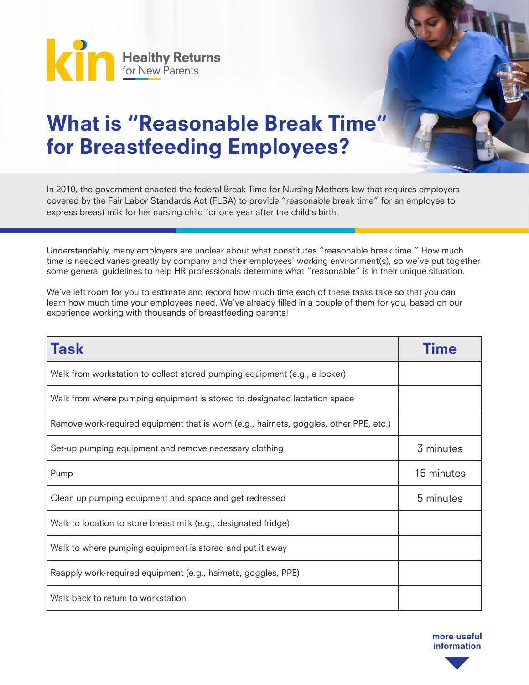

## What is "Reasonable Break Time" for Breastfeeding Employees?

In 2010, the government enacted the federal Break Time for Nursing Mothers law that requires employers covered by the Fair Labor Standards Act (FLSA) to provide "reasonable break time" for an employee to express breast milk for her nursing child for one year after the child's birth.

Understandably, many employers are unclear about what constitutes "reasonable break time." How much time is needed varies greatly by company and their employees' working environment(s), so we've put together some general guidelines to help HR professionals determine what "reasonable" is in their unique situation.

We've left room for you to estimate and record how much time each of these tasks take so that you can learn how much time your employees need. We've already filled in a couple of them for you, based on our experience working with thousands of breastfeeding parents!

| <b>Task</b>                                                                            | Time       |
|----------------------------------------------------------------------------------------|------------|
| Walk from workstation to collect stored pumping equipment (e.g., a locker)             |            |
| Walk from where pumping equipment is stored to designated lactation space              |            |
| Remove work-required equipment that is worn (e.g., hairnets, goggles, other PPE, etc.) |            |
| Set-up pumping equipment and remove necessary clothing                                 | 3 minutes  |
| Pump                                                                                   | 15 minutes |
| Clean up pumping equipment and space and get redressed                                 | 5 minutes  |
| Walk to location to store breast milk (e.g., designated fridge)                        |            |
| Walk to where pumping equipment is stored and put it away                              |            |
| Reapply work-required equipment (e.g., hairnets, goggles, PPE)                         |            |
| Walk back to return to workstation                                                     |            |

more useful information